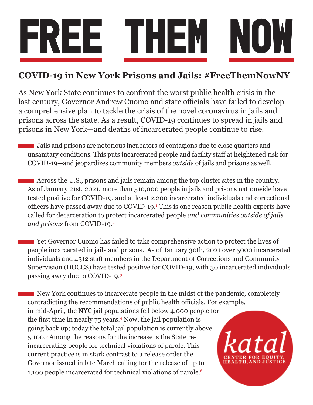

## **COVID-19 in New York Prisons and Jails: #FreeThemNowNY**

As New York State continues to confront the worst public health crisis in the last century, Governor Andrew Cuomo and state officials have failed to develop a comprehensive plan to tackle the crisis of the novel coronavirus in jails and prisons across the state. As a result, COVID-19 continues to spread in jails and prisons in New York—and deaths of incarcerated people continue to rise.

Jails and prisons are notorious incubators of contagions due to close quarters and unsanitary conditions. This puts incarcerated people and facility staff at heightened risk for COVID-19—and jeopardizes community members *outside* of jails and prisons as well.

Across the U.S., prisons and jails remain among the top cluster sites in the country. As of January 21st, 2021, more than 510,000 people in jails and prisons nationwide have tested positive for COVID-19, and at least 2,200 incarcerated individuals and correctional officers have passed away due to COVID-19.<sup>1</sup> This is one reason public health experts have called for decarceration to protect incarcerated people *and communities outside of jails and prisons* from COVID-19.2

**The Solution Cuomo has failed to take comprehensive action to protect the lives of** people incarcerated in jails and prisons. As of January 30th, 2021 over 5000 incarcerated individuals and 4312 staff members in the Department of Corrections and Community Supervision (DOCCS) have tested positive for COVID-19, with 30 incarcerated individuals passing away due to COVID-19.3

New York continues to incarcerate people in the midst of the pandemic, completely contradicting the recommendations of public health officials. For example, in mid-April, the NYC jail populations fell below 4,000 people for the first time in nearly 75 years.<sup>4</sup> Now, the jail population is going back up; today the total jail population is currently above 5,100.5 Among the reasons for the increase is the State reincarcerating people for technical violations of parole. This current practice is in stark contrast to a release order the Governor issued in late March calling for the release of up to 1,100 people incarcerated for technical violations of parole.<sup>6</sup>